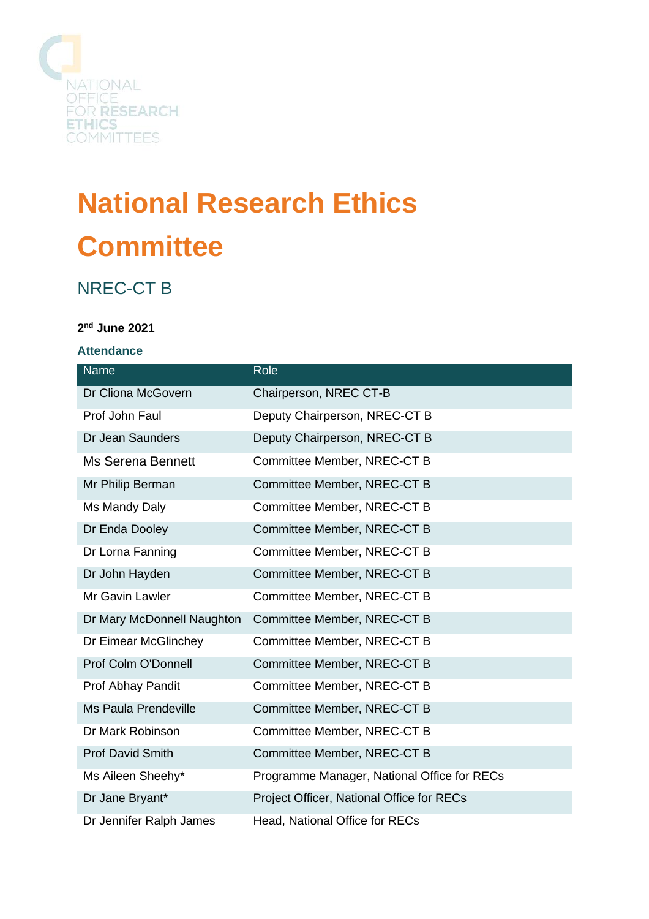

# **National Research Ethics Committee**

## NREC-CT B

### **2 nd June 2021**

#### **Attendance**

| <b>Name</b>                 | Role                                        |
|-----------------------------|---------------------------------------------|
| Dr Cliona McGovern          | Chairperson, NREC CT-B                      |
| Prof John Faul              | Deputy Chairperson, NREC-CT B               |
| Dr Jean Saunders            | Deputy Chairperson, NREC-CT B               |
| <b>Ms Serena Bennett</b>    | Committee Member, NREC-CT B                 |
| Mr Philip Berman            | Committee Member, NREC-CT B                 |
| Ms Mandy Daly               | Committee Member, NREC-CT B                 |
| Dr Enda Dooley              | Committee Member, NREC-CT B                 |
| Dr Lorna Fanning            | Committee Member, NREC-CT B                 |
| Dr John Hayden              | Committee Member, NREC-CT B                 |
| Mr Gavin Lawler             | Committee Member, NREC-CT B                 |
| Dr Mary McDonnell Naughton  | Committee Member, NREC-CT B                 |
| Dr Eimear McGlinchey        | Committee Member, NREC-CT B                 |
| Prof Colm O'Donnell         | Committee Member, NREC-CT B                 |
| Prof Abhay Pandit           | Committee Member, NREC-CT B                 |
| <b>Ms Paula Prendeville</b> | Committee Member, NREC-CT B                 |
| Dr Mark Robinson            | Committee Member, NREC-CT B                 |
| <b>Prof David Smith</b>     | Committee Member, NREC-CT B                 |
| Ms Aileen Sheehy*           | Programme Manager, National Office for RECs |
| Dr Jane Bryant*             | Project Officer, National Office for RECs   |
| Dr Jennifer Ralph James     | <b>Head, National Office for RECs</b>       |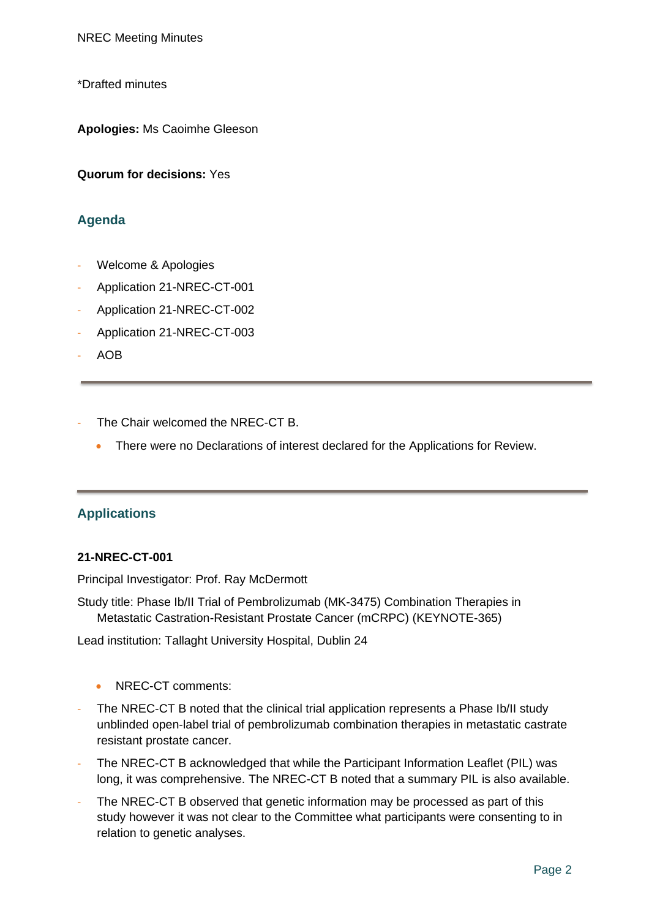NREC Meeting Minutes

\*Drafted minutes

**Apologies:** Ms Caoimhe Gleeson

**Quorum for decisions:** Yes

#### **Agenda**

- Welcome & Apologies
- Application 21-NREC-CT-001
- Application 21-NREC-CT-002
- Application 21-NREC-CT-003
- AOB
- The Chair welcomed the NREC-CT B.
	- There were no Declarations of interest declared for the Applications for Review.

#### **Applications**

#### **21-NREC-CT-001**

Principal Investigator: Prof. Ray McDermott

Study title: Phase Ib/II Trial of Pembrolizumab (MK-3475) Combination Therapies in Metastatic Castration-Resistant Prostate Cancer (mCRPC) (KEYNOTE-365)

Lead institution: Tallaght University Hospital, Dublin 24

- NREC-CT comments:
- The NREC-CT B noted that the clinical trial application represents a Phase Ib/II study unblinded open-label trial of pembrolizumab combination therapies in metastatic castrate resistant prostate cancer.
- The NREC-CT B acknowledged that while the Participant Information Leaflet (PIL) was long, it was comprehensive. The NREC-CT B noted that a summary PIL is also available.
- The NREC-CT B observed that genetic information may be processed as part of this study however it was not clear to the Committee what participants were consenting to in relation to genetic analyses.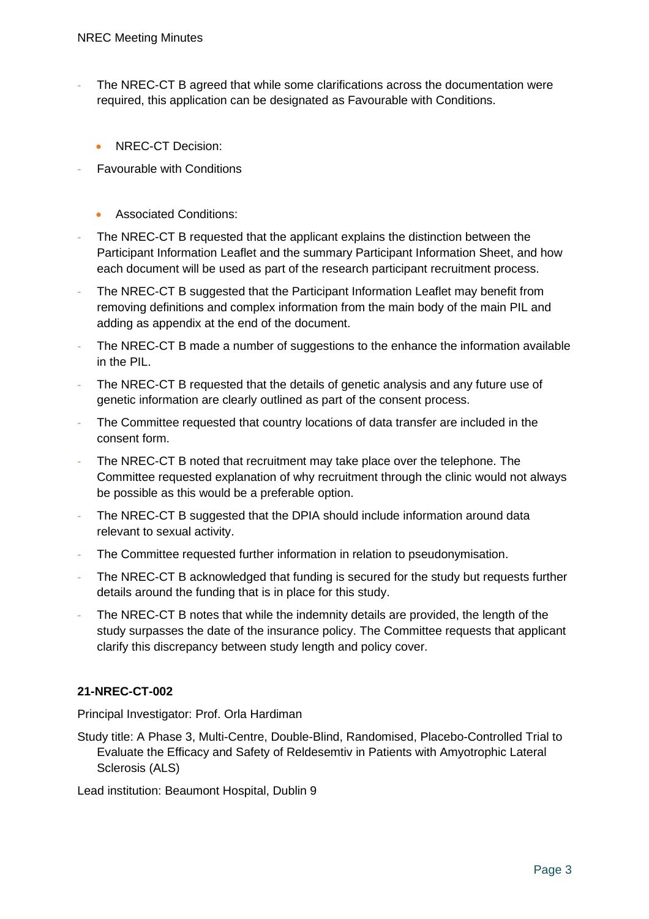- The NREC-CT B agreed that while some clarifications across the documentation were required, this application can be designated as Favourable with Conditions.
	- NREC-CT Decision:
- **Favourable with Conditions** 
	- Associated Conditions:
- The NREC-CT B requested that the applicant explains the distinction between the Participant Information Leaflet and the summary Participant Information Sheet, and how each document will be used as part of the research participant recruitment process.
- The NREC-CT B suggested that the Participant Information Leaflet may benefit from removing definitions and complex information from the main body of the main PIL and adding as appendix at the end of the document.
- The NREC-CT B made a number of suggestions to the enhance the information available in the PIL.
- The NREC-CT B requested that the details of genetic analysis and any future use of genetic information are clearly outlined as part of the consent process.
- The Committee requested that country locations of data transfer are included in the consent form.
- The NREC-CT B noted that recruitment may take place over the telephone. The Committee requested explanation of why recruitment through the clinic would not always be possible as this would be a preferable option.
- The NREC-CT B suggested that the DPIA should include information around data relevant to sexual activity.
- The Committee requested further information in relation to pseudonymisation.
- The NREC-CT B acknowledged that funding is secured for the study but requests further details around the funding that is in place for this study.
- The NREC-CT B notes that while the indemnity details are provided, the length of the study surpasses the date of the insurance policy. The Committee requests that applicant clarify this discrepancy between study length and policy cover.

### **21-NREC-CT-002**

Principal Investigator: Prof. Orla Hardiman

Study title: A Phase 3, Multi-Centre, Double-Blind, Randomised, Placebo-Controlled Trial to Evaluate the Efficacy and Safety of Reldesemtiv in Patients with Amyotrophic Lateral Sclerosis (ALS)

Lead institution: Beaumont Hospital, Dublin 9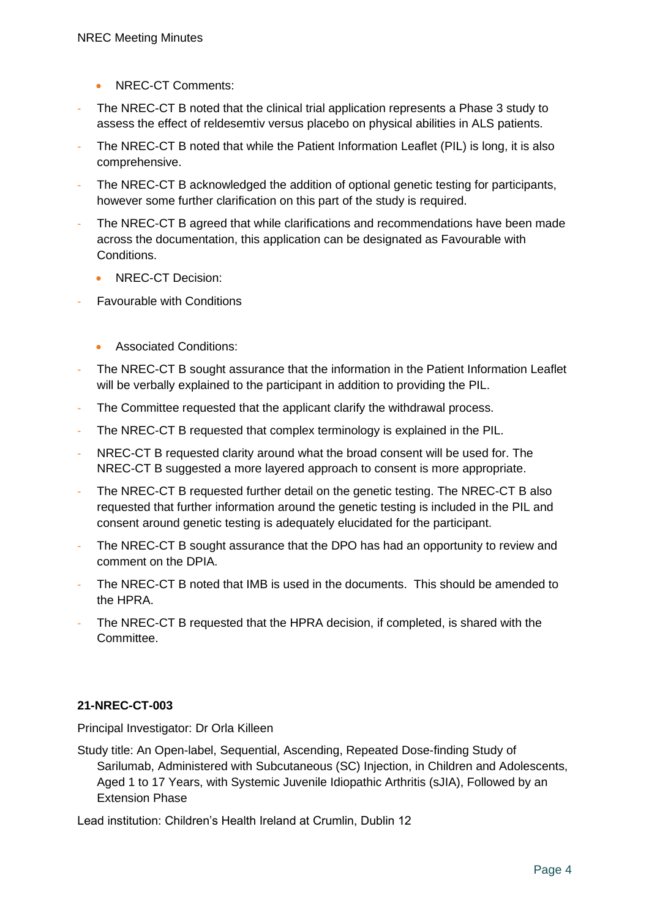- NREC-CT Comments:
- The NREC-CT B noted that the clinical trial application represents a Phase 3 study to assess the effect of reldesemtiv versus placebo on physical abilities in ALS patients.
- The NREC-CT B noted that while the Patient Information Leaflet (PIL) is long, it is also comprehensive.
- The NREC-CT B acknowledged the addition of optional genetic testing for participants, however some further clarification on this part of the study is required.
- The NREC-CT B agreed that while clarifications and recommendations have been made across the documentation, this application can be designated as Favourable with Conditions.
	- NREC-CT Decision:
- Favourable with Conditions
	- Associated Conditions:
- The NREC-CT B sought assurance that the information in the Patient Information Leaflet will be verbally explained to the participant in addition to providing the PIL.
- The Committee requested that the applicant clarify the withdrawal process.
- The NREC-CT B requested that complex terminology is explained in the PIL.
- NREC-CT B requested clarity around what the broad consent will be used for. The NREC-CT B suggested a more layered approach to consent is more appropriate.
- The NREC-CT B requested further detail on the genetic testing. The NREC-CT B also requested that further information around the genetic testing is included in the PIL and consent around genetic testing is adequately elucidated for the participant.
- The NREC-CT B sought assurance that the DPO has had an opportunity to review and comment on the DPIA.
- The NREC-CT B noted that IMB is used in the documents. This should be amended to the HPRA.
- The NREC-CT B requested that the HPRA decision, if completed, is shared with the Committee.

### **21-NREC-CT-003**

Principal Investigator: Dr Orla Killeen

Study title: An Open-label, Sequential, Ascending, Repeated Dose-finding Study of Sarilumab, Administered with Subcutaneous (SC) Injection, in Children and Adolescents, Aged 1 to 17 Years, with Systemic Juvenile Idiopathic Arthritis (sJIA), Followed by an Extension Phase

Lead institution: Children's Health Ireland at Crumlin, Dublin 12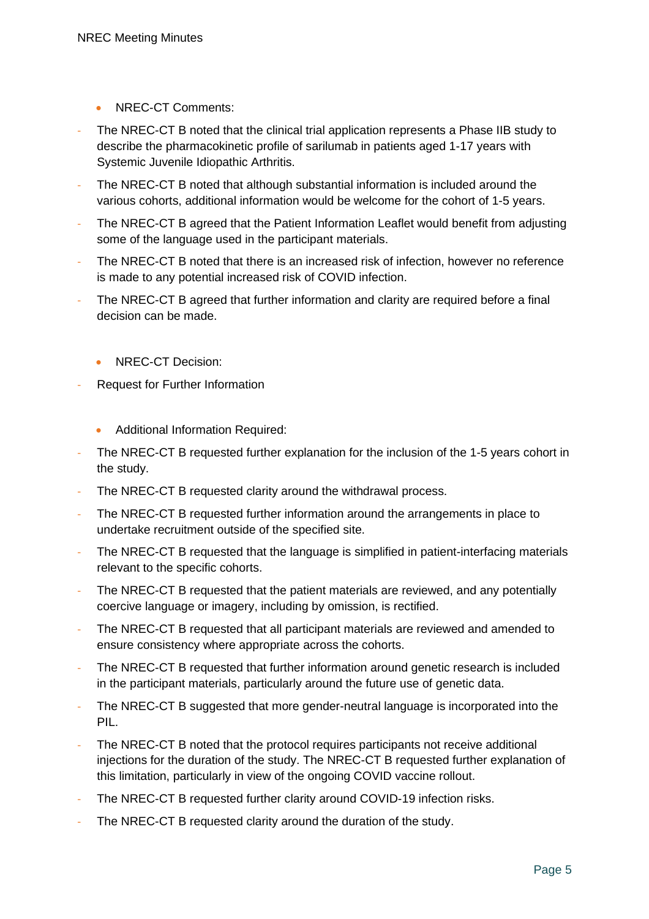- NREC-CT Comments:
- The NREC-CT B noted that the clinical trial application represents a Phase IIB study to describe the pharmacokinetic profile of sarilumab in patients aged 1-17 years with Systemic Juvenile Idiopathic Arthritis.
- The NREC-CT B noted that although substantial information is included around the various cohorts, additional information would be welcome for the cohort of 1-5 years.
- The NREC-CT B agreed that the Patient Information Leaflet would benefit from adjusting some of the language used in the participant materials.
- The NREC-CT B noted that there is an increased risk of infection, however no reference is made to any potential increased risk of COVID infection.
- The NREC-CT B agreed that further information and clarity are required before a final decision can be made.
	- NREC-CT Decision:
- Request for Further Information
	- Additional Information Required:
- The NREC-CT B requested further explanation for the inclusion of the 1-5 years cohort in the study.
- The NREC-CT B requested clarity around the withdrawal process.
- The NREC-CT B requested further information around the arrangements in place to undertake recruitment outside of the specified site.
- The NREC-CT B requested that the language is simplified in patient-interfacing materials relevant to the specific cohorts.
- The NREC-CT B requested that the patient materials are reviewed, and any potentially coercive language or imagery, including by omission, is rectified.
- The NREC-CT B requested that all participant materials are reviewed and amended to ensure consistency where appropriate across the cohorts.
- The NREC-CT B requested that further information around genetic research is included in the participant materials, particularly around the future use of genetic data.
- The NREC-CT B suggested that more gender-neutral language is incorporated into the PIL.
- The NREC-CT B noted that the protocol requires participants not receive additional injections for the duration of the study. The NREC-CT B requested further explanation of this limitation, particularly in view of the ongoing COVID vaccine rollout.
- The NREC-CT B requested further clarity around COVID-19 infection risks.
- The NREC-CT B requested clarity around the duration of the study.